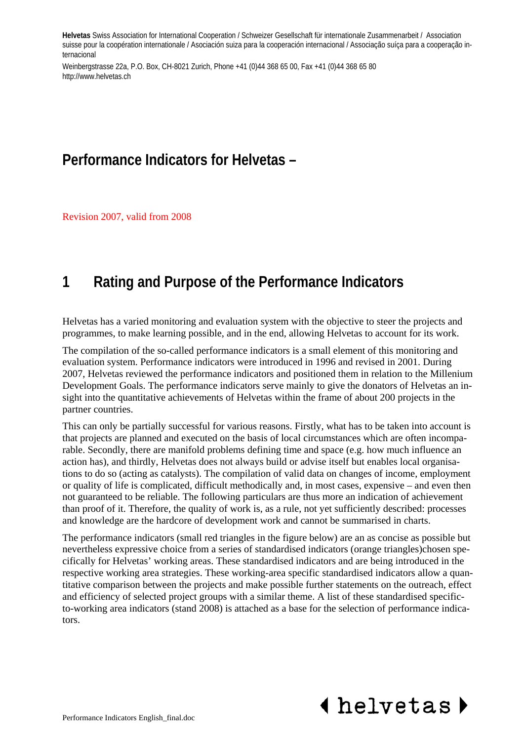**Helvetas** Swiss Association for International Cooperation / Schweizer Gesellschaft für internationale Zusammenarbeit / Association suisse pour la coopération internationale / Asociación suiza para la cooperación internacional / Associação suíça para a cooperação internacional

Weinbergstrasse 22a, P.O. Box, CH-8021 Zurich, Phone +41 (0)44 368 65 00, Fax +41 (0)44 368 65 80 http://www.helvetas.ch

## **Performance Indicators for Helvetas –**

Revision 2007, valid from 2008

## **1 Rating and Purpose of the Performance Indicators**

Helvetas has a varied monitoring and evaluation system with the objective to steer the projects and programmes, to make learning possible, and in the end, allowing Helvetas to account for its work.

The compilation of the so-called performance indicators is a small element of this monitoring and evaluation system. Performance indicators were introduced in 1996 and revised in 2001. During 2007, Helvetas reviewed the performance indicators and positioned them in relation to the Millenium Development Goals. The performance indicators serve mainly to give the donators of Helvetas an insight into the quantitative achievements of Helvetas within the frame of about 200 projects in the partner countries.

This can only be partially successful for various reasons. Firstly, what has to be taken into account is that projects are planned and executed on the basis of local circumstances which are often incomparable. Secondly, there are manifold problems defining time and space (e.g. how much influence an action has), and thirdly, Helvetas does not always build or advise itself but enables local organisations to do so (acting as catalysts). The compilation of valid data on changes of income, employment or quality of life is complicated, difficult methodically and, in most cases, expensive – and even then not guaranteed to be reliable. The following particulars are thus more an indication of achievement than proof of it. Therefore, the quality of work is, as a rule, not yet sufficiently described: processes and knowledge are the hardcore of development work and cannot be summarised in charts.

The performance indicators (small red triangles in the figure below) are an as concise as possible but nevertheless expressive choice from a series of standardised indicators (orange triangles)chosen specifically for Helvetas' working areas. These standardised indicators and are being introduced in the respective working area strategies. These working-area specific standardised indicators allow a quantitative comparison between the projects and make possible further statements on the outreach, effect and efficiency of selected project groups with a similar theme. A list of these standardised specificto-working area indicators (stand 2008) is attached as a base for the selection of performance indicators.

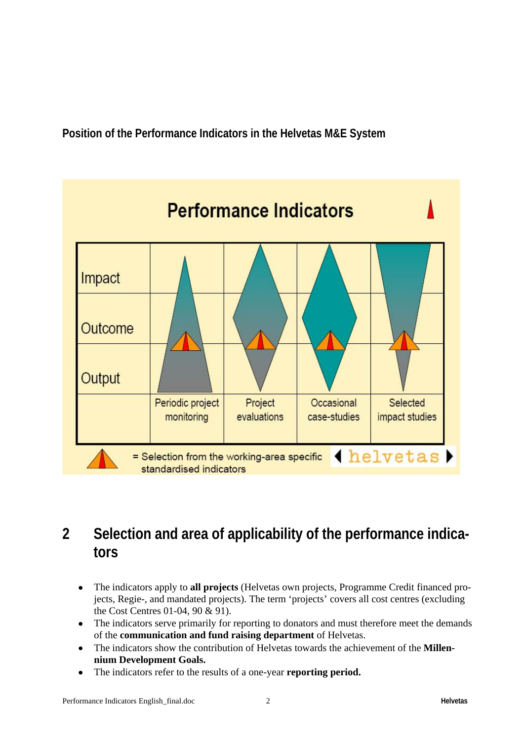**Position of the Performance Indicators in the Helvetas M&E System** 



## **2 Selection and area of applicability of the performance indicators**

- The indicators apply to **all projects** (Helvetas own projects, Programme Credit financed projects, Regie-, and mandated projects). The term 'projects' covers all cost centres (excluding the Cost Centres 01-04, 90 & 91).
- The indicators serve primarily for reporting to donators and must therefore meet the demands of the **communication and fund raising department** of Helvetas.
- The indicators show the contribution of Helvetas towards the achievement of the **Millennium Development Goals.**
- The indicators refer to the results of a one-year **reporting period.**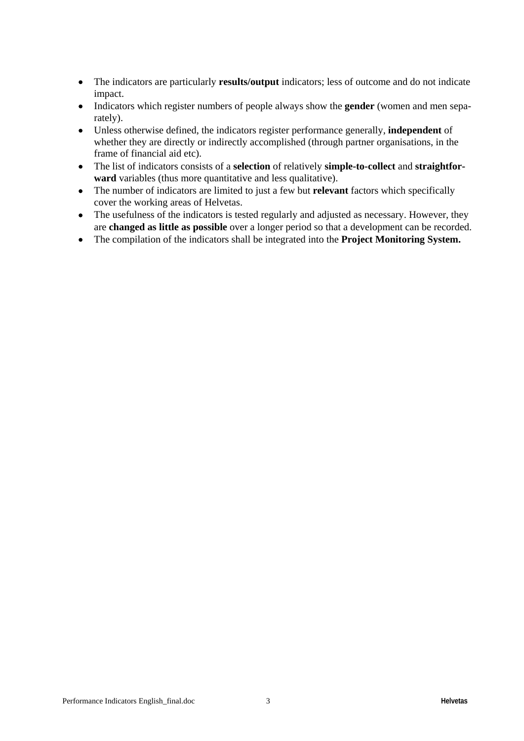- The indicators are particularly **results/output** indicators; less of outcome and do not indicate impact.
- Indicators which register numbers of people always show the **gender** (women and men separately).
- Unless otherwise defined, the indicators register performance generally, **independent** of whether they are directly or indirectly accomplished (through partner organisations, in the frame of financial aid etc).
- The list of indicators consists of a **selection** of relatively **simple-to-collect** and **straightforward** variables (thus more quantitative and less qualitative).
- The number of indicators are limited to just a few but **relevant** factors which specifically cover the working areas of Helvetas.
- The usefulness of the indicators is tested regularly and adjusted as necessary. However, they are **changed as little as possible** over a longer period so that a development can be recorded.
- The compilation of the indicators shall be integrated into the **Project Monitoring System.**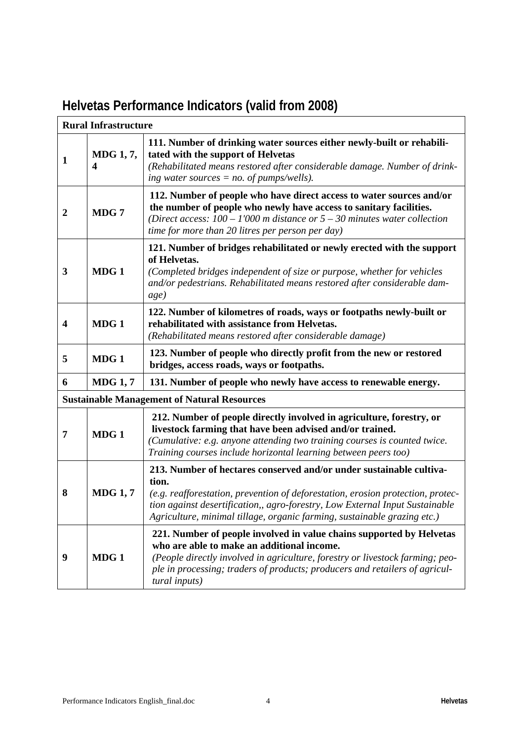|                         | <b>Rural Infrastructure</b>          |                                                                                                                                                                                                                                                                                                                             |  |  |  |
|-------------------------|--------------------------------------|-----------------------------------------------------------------------------------------------------------------------------------------------------------------------------------------------------------------------------------------------------------------------------------------------------------------------------|--|--|--|
| $\mathbf 1$             | MDG 1, 7,<br>$\overline{\mathbf{4}}$ | 111. Number of drinking water sources either newly-built or rehabili-<br>tated with the support of Helvetas<br>(Rehabilitated means restored after considerable damage. Number of drink-<br>ing water sources $= no$ . of pumps/wells).                                                                                     |  |  |  |
| $\boldsymbol{2}$        | MDG 7                                | 112. Number of people who have direct access to water sources and/or<br>the number of people who newly have access to sanitary facilities.<br>(Direct access: $100 - 1'000$ m distance or $5 - 30$ minutes water collection<br>time for more than 20 litres per person per day)                                             |  |  |  |
| 3                       | MDG1                                 | 121. Number of bridges rehabilitated or newly erected with the support<br>of Helvetas.<br>(Completed bridges independent of size or purpose, whether for vehicles<br>and/or pedestrians. Rehabilitated means restored after considerable dam-<br>age)                                                                       |  |  |  |
| $\overline{\mathbf{4}}$ | MDG <sub>1</sub>                     | 122. Number of kilometres of roads, ways or footpaths newly-built or<br>rehabilitated with assistance from Helvetas.<br>(Rehabilitated means restored after considerable damage)                                                                                                                                            |  |  |  |
| 5                       | MDG 1                                | 123. Number of people who directly profit from the new or restored<br>bridges, access roads, ways or footpaths.                                                                                                                                                                                                             |  |  |  |
| 6                       | <b>MDG 1, 7</b>                      | 131. Number of people who newly have access to renewable energy.                                                                                                                                                                                                                                                            |  |  |  |
|                         |                                      | <b>Sustainable Management of Natural Resources</b>                                                                                                                                                                                                                                                                          |  |  |  |
| 7                       | MDG1                                 | 212. Number of people directly involved in agriculture, forestry, or<br>livestock farming that have been advised and/or trained.<br>(Cumulative: e.g. anyone attending two training courses is counted twice.<br>Training courses include horizontal learning between peers too)                                            |  |  |  |
| 8                       | <b>MDG 1, 7</b>                      | 213. Number of hectares conserved and/or under sustainable cultiva-<br>tion.<br>(e.g. reafforestation, prevention of deforestation, erosion protection, protec-<br>tion against desertification,, agro-forestry, Low External Input Sustainable<br>Agriculture, minimal tillage, organic farming, sustainable grazing etc.) |  |  |  |
| 9                       | MDG 1                                | 221. Number of people involved in value chains supported by Helvetas<br>who are able to make an additional income.<br>(People directly involved in agriculture, forestry or livestock farming; peo-<br>ple in processing; traders of products; producers and retailers of agricul-<br>tural inputs)                         |  |  |  |

# **Helvetas Performance Indicators (valid from 2008)**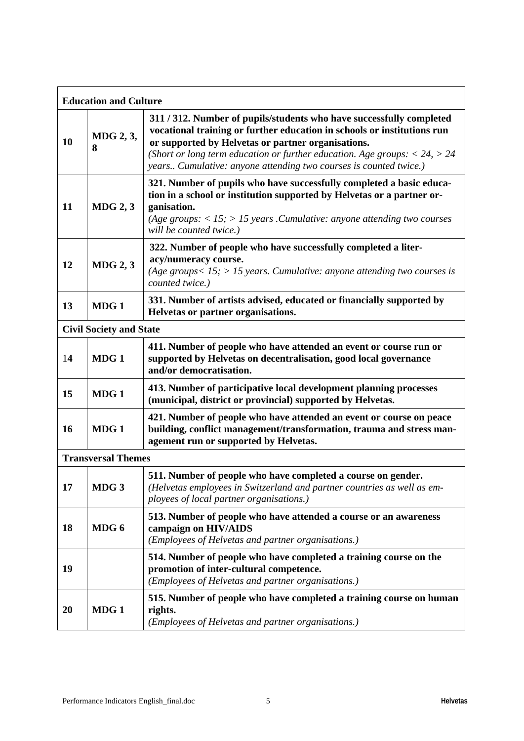| <b>Education and Culture</b> |                                |                                                                                                                                                                                                                                                                                                                                                               |  |  |
|------------------------------|--------------------------------|---------------------------------------------------------------------------------------------------------------------------------------------------------------------------------------------------------------------------------------------------------------------------------------------------------------------------------------------------------------|--|--|
| <b>10</b>                    | MDG 2, 3,<br>8                 | 311 / 312. Number of pupils/students who have successfully completed<br>vocational training or further education in schools or institutions run<br>or supported by Helvetas or partner organisations.<br>(Short or long term education or further education. Age groups: $< 24$ , $> 24$<br>years Cumulative: anyone attending two courses is counted twice.) |  |  |
| 11                           | $MDG$ 2, 3                     | 321. Number of pupils who have successfully completed a basic educa-<br>tion in a school or institution supported by Helvetas or a partner or-<br>ganisation.<br>(Age groups: $<$ 15; $>$ 15 years . Cumulative: anyone attending two courses<br>will be counted twice.)                                                                                      |  |  |
| 12                           | $MDG$ 2, 3                     | 322. Number of people who have successfully completed a liter-<br>acy/numeracy course.<br>(Age groups $15$ ; $> 15$ years. Cumulative: anyone attending two courses is<br>counted twice.)                                                                                                                                                                     |  |  |
| 13                           | MDG1                           | 331. Number of artists advised, educated or financially supported by<br>Helvetas or partner organisations.                                                                                                                                                                                                                                                    |  |  |
|                              | <b>Civil Society and State</b> |                                                                                                                                                                                                                                                                                                                                                               |  |  |
| 14                           | MDG1                           | 411. Number of people who have attended an event or course run or<br>supported by Helvetas on decentralisation, good local governance<br>and/or democratisation.                                                                                                                                                                                              |  |  |
| 15                           | MDG1                           | 413. Number of participative local development planning processes<br>(municipal, district or provincial) supported by Helvetas.                                                                                                                                                                                                                               |  |  |
| <b>16</b>                    | MDG <sub>1</sub>               | 421. Number of people who have attended an event or course on peace<br>building, conflict management/transformation, trauma and stress man-<br>agement run or supported by Helvetas.                                                                                                                                                                          |  |  |
|                              | <b>Transversal Themes</b>      |                                                                                                                                                                                                                                                                                                                                                               |  |  |
| 17                           | MDG <sub>3</sub>               | 511. Number of people who have completed a course on gender.<br>(Helvetas employees in Switzerland and partner countries as well as em-<br>ployees of local partner organisations.)                                                                                                                                                                           |  |  |
| 18                           | MDG 6                          | 513. Number of people who have attended a course or an awareness<br>campaign on HIV/AIDS<br>(Employees of Helvetas and partner organisations.)                                                                                                                                                                                                                |  |  |
| 19                           |                                | 514. Number of people who have completed a training course on the<br>promotion of inter-cultural competence.<br>(Employees of Helvetas and partner organisations.)                                                                                                                                                                                            |  |  |
| 20                           | MDG1                           | 515. Number of people who have completed a training course on human<br>rights.<br>(Employees of Helvetas and partner organisations.)                                                                                                                                                                                                                          |  |  |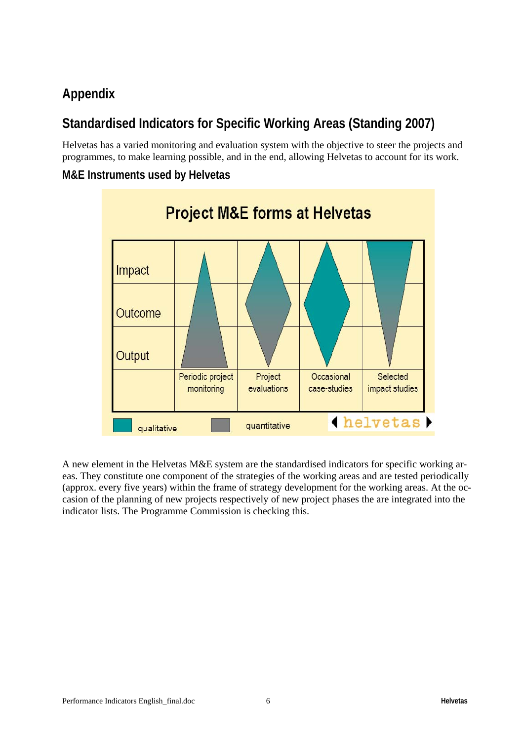## **Appendix**

## **Standardised Indicators for Specific Working Areas (Standing 2007)**

Helvetas has a varied monitoring and evaluation system with the objective to steer the projects and programmes, to make learning possible, and in the end, allowing Helvetas to account for its work.

**M&E Instruments used by Helvetas** 



A new element in the Helvetas M&E system are the standardised indicators for specific working areas. They constitute one component of the strategies of the working areas and are tested periodically (approx. every five years) within the frame of strategy development for the working areas. At the occasion of the planning of new projects respectively of new project phases the are integrated into the indicator lists. The Programme Commission is checking this.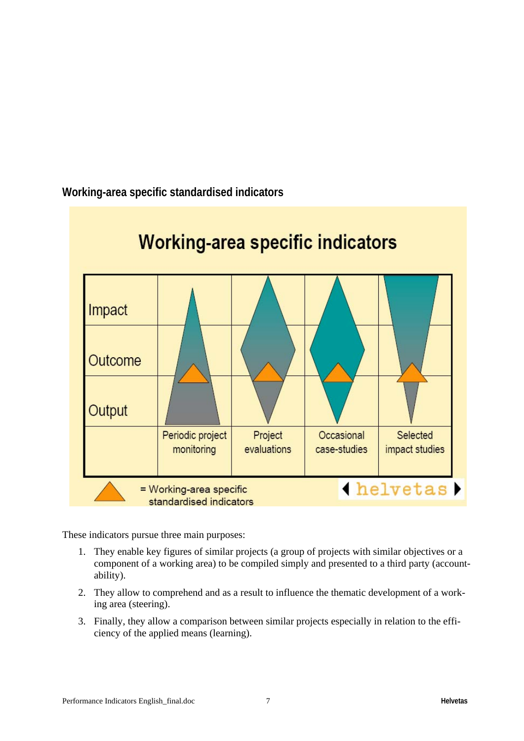

**Working-area specific standardised indicators** 

These indicators pursue three main purposes:

- 1. They enable key figures of similar projects (a group of projects with similar objectives or a component of a working area) to be compiled simply and presented to a third party (accountability).
- 2. They allow to comprehend and as a result to influence the thematic development of a working area (steering).
- 3. Finally, they allow a comparison between similar projects especially in relation to the efficiency of the applied means (learning).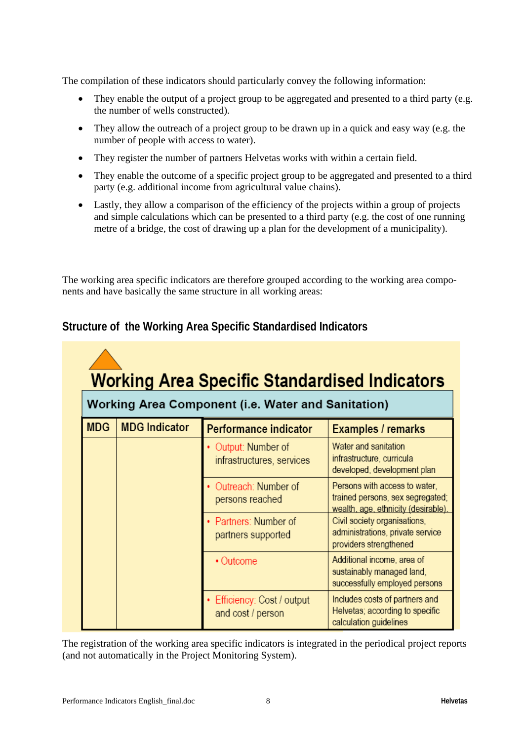The compilation of these indicators should particularly convey the following information:

- They enable the output of a project group to be aggregated and presented to a third party (e.g. the number of wells constructed).
- They allow the outreach of a project group to be drawn up in a quick and easy way (e.g. the number of people with access to water).
- They register the number of partners Helvetas works with within a certain field.
- They enable the outcome of a specific project group to be aggregated and presented to a third party (e.g. additional income from agricultural value chains).
- Lastly, they allow a comparison of the efficiency of the projects within a group of projects and simple calculations which can be presented to a third party (e.g. the cost of one running metre of a bridge, the cost of drawing up a plan for the development of a municipality).

The working area specific indicators are therefore grouped according to the working area components and have basically the same structure in all working areas:

| <b>Working Area Specific Standardised Indicators</b><br>Working Area Component (i.e. Water and Sanitation) |                      |                                                |                                                                                                          |  |  |  |
|------------------------------------------------------------------------------------------------------------|----------------------|------------------------------------------------|----------------------------------------------------------------------------------------------------------|--|--|--|
| <b>MDG</b>                                                                                                 | <b>MDG</b> Indicator | Performance indicator                          | Examples / remarks                                                                                       |  |  |  |
|                                                                                                            |                      | Output: Number of<br>infrastructures, services | Water and sanitation<br>infrastructure, curricula<br>developed, development plan                         |  |  |  |
|                                                                                                            |                      | Outreach: Number of<br>persons reached         | Persons with access to water,<br>trained persons, sex segregated;<br>wealth, age, ethnicity (desirable). |  |  |  |
|                                                                                                            |                      | Partners: Number of<br>partners supported      | Civil society organisations,<br>administrations, private service<br>providers strengthened               |  |  |  |
|                                                                                                            |                      | • Outcome                                      | Additional income, area of<br>sustainably managed land,<br>successfully employed persons                 |  |  |  |
|                                                                                                            |                      | Efficiency: Cost / output<br>and cost / person | Includes costs of partners and<br>Helvetas; according to specific<br>calculation guidelines              |  |  |  |

### **Structure of the Working Area Specific Standardised Indicators**

The registration of the working area specific indicators is integrated in the periodical project reports (and not automatically in the Project Monitoring System).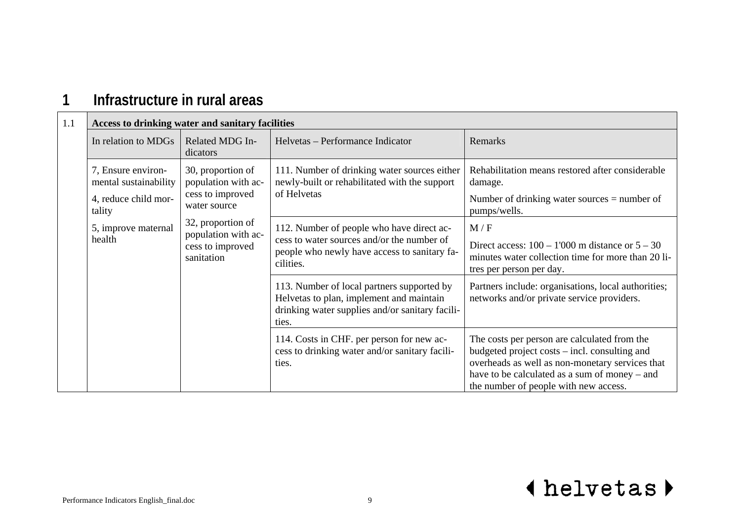### **1Infrastructure in rural areas**

| 1.1 | Access to drinking water and sanitary facilities                              |                                                                                                                                                            |                                                                                                                                                                                                                                            |                                                                                                                                              |
|-----|-------------------------------------------------------------------------------|------------------------------------------------------------------------------------------------------------------------------------------------------------|--------------------------------------------------------------------------------------------------------------------------------------------------------------------------------------------------------------------------------------------|----------------------------------------------------------------------------------------------------------------------------------------------|
|     | In relation to MDGs                                                           | Related MDG In-<br>dicators                                                                                                                                | Helvetas – Performance Indicator                                                                                                                                                                                                           | Remarks                                                                                                                                      |
|     | 7, Ensure environ-<br>mental sustainability<br>4, reduce child mor-<br>tality | 30, proportion of<br>population with ac-<br>cess to improved<br>water source<br>32, proportion of<br>population with ac-<br>cess to improved<br>sanitation | 111. Number of drinking water sources either<br>newly-built or rehabilitated with the support<br>of Helvetas                                                                                                                               | Rehabilitation means restored after considerable<br>damage.<br>Number of drinking water sources $=$ number of<br>pumps/wells.                |
|     | 5, improve maternal<br>health                                                 |                                                                                                                                                            | 112. Number of people who have direct ac-<br>cess to water sources and/or the number of<br>people who newly have access to sanitary fa-<br>cilities.                                                                                       | M/F<br>Direct access: $100 - 1'000$ m distance or $5 - 30$<br>minutes water collection time for more than 20 li-<br>tres per person per day. |
|     |                                                                               |                                                                                                                                                            | 113. Number of local partners supported by<br>Helvetas to plan, implement and maintain<br>drinking water supplies and/or sanitary facili-<br>ties.                                                                                         | Partners include: organisations, local authorities;<br>networks and/or private service providers.                                            |
|     |                                                                               | 114. Costs in CHF. per person for new ac-<br>cess to drinking water and/or sanitary facili-<br>ties.                                                       | The costs per person are calculated from the<br>budgeted project costs – incl. consulting and<br>overheads as well as non-monetary services that<br>have to be calculated as a sum of money – and<br>the number of people with new access. |                                                                                                                                              |

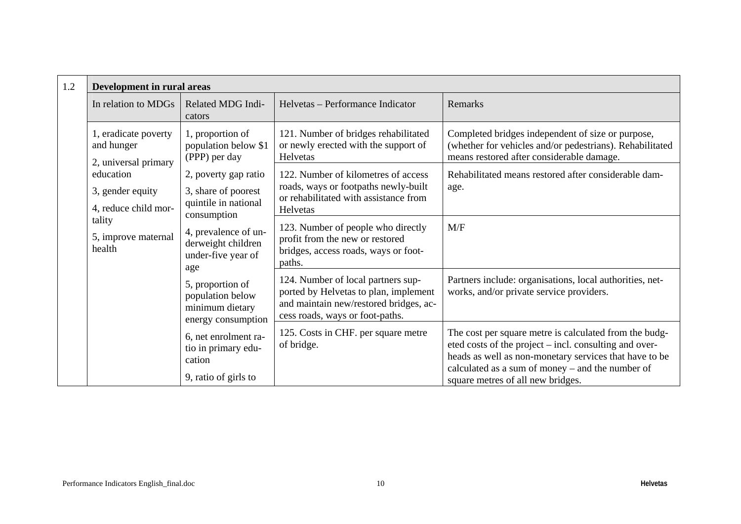| 1.2 | Development in rural areas                                 |                                                                                        |                                                                                                                                                          |                                                                                                                                                                                                                                                                     |
|-----|------------------------------------------------------------|----------------------------------------------------------------------------------------|----------------------------------------------------------------------------------------------------------------------------------------------------------|---------------------------------------------------------------------------------------------------------------------------------------------------------------------------------------------------------------------------------------------------------------------|
|     | In relation to MDGs                                        | Related MDG Indi-<br>cators                                                            | Helvetas – Performance Indicator                                                                                                                         | Remarks                                                                                                                                                                                                                                                             |
|     | 1, eradicate poverty<br>and hunger<br>2, universal primary | 1, proportion of<br>population below \$1<br>(PPP) per day                              | 121. Number of bridges rehabilitated<br>or newly erected with the support of<br><b>Helvetas</b>                                                          | Completed bridges independent of size or purpose,<br>(whether for vehicles and/or pedestrians). Rehabilitated<br>means restored after considerable damage.                                                                                                          |
|     | education<br>3, gender equity<br>4, reduce child mor-      | 2, poverty gap ratio<br>3, share of poorest<br>quintile in national                    | 122. Number of kilometres of access<br>roads, ways or footpaths newly-built<br>or rehabilitated with assistance from<br>Helvetas                         | Rehabilitated means restored after considerable dam-<br>age.                                                                                                                                                                                                        |
|     | tality<br>5, improve maternal<br>health                    | consumption<br>4, prevalence of un-<br>derweight children<br>under-five year of<br>age | 123. Number of people who directly<br>profit from the new or restored<br>bridges, access roads, ways or foot-<br>paths.                                  | M/F                                                                                                                                                                                                                                                                 |
|     |                                                            | 5, proportion of<br>population below<br>minimum dietary<br>energy consumption          | 124. Number of local partners sup-<br>ported by Helvetas to plan, implement<br>and maintain new/restored bridges, ac-<br>cess roads, ways or foot-paths. | Partners include: organisations, local authorities, net-<br>works, and/or private service providers.                                                                                                                                                                |
|     |                                                            | 6, net enrolment ra-<br>tio in primary edu-<br>cation<br>9, ratio of girls to          | 125. Costs in CHF. per square metre<br>of bridge.                                                                                                        | The cost per square metre is calculated from the budg-<br>eted costs of the project – incl. consulting and over-<br>heads as well as non-monetary services that have to be<br>calculated as a sum of money – and the number of<br>square metres of all new bridges. |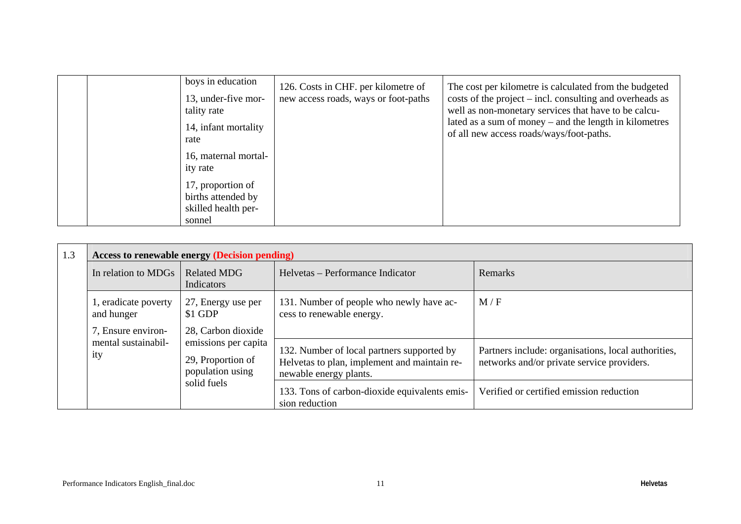| boys in education<br>13, under-five mor-<br>tality rate<br>14, infant mortality<br>rate | 126. Costs in CHF. per kilometre of<br>new access roads, ways or foot-paths | The cost per kilometre is calculated from the budgeted<br>$\cos$ costs of the project – incl. consulting and overheads as<br>well as non-monetary services that have to be calcu-<br>lated as a sum of money – and the length in kilometres<br>of all new access roads/ways/foot-paths. |
|-----------------------------------------------------------------------------------------|-----------------------------------------------------------------------------|-----------------------------------------------------------------------------------------------------------------------------------------------------------------------------------------------------------------------------------------------------------------------------------------|
| 16, maternal mortal-<br>ity rate                                                        |                                                                             |                                                                                                                                                                                                                                                                                         |
| 17, proportion of<br>births attended by<br>skilled health per-<br>sonnel                |                                                                             |                                                                                                                                                                                                                                                                                         |

| 1.3 | <b>Access to renewable energy (Decision pending)</b> |                                                                                     |                                                                                                                      |                                                                                                   |  |
|-----|------------------------------------------------------|-------------------------------------------------------------------------------------|----------------------------------------------------------------------------------------------------------------------|---------------------------------------------------------------------------------------------------|--|
|     | In relation to MDGs                                  | <b>Related MDG</b><br>Indicators                                                    | Helvetas – Performance Indicator                                                                                     | Remarks                                                                                           |  |
|     | 1, eradicate poverty<br>and hunger                   | 27, Energy use per<br>\$1 GDP                                                       | 131. Number of people who newly have ac-<br>cess to renewable energy.                                                | M/F                                                                                               |  |
|     | 7, Ensure environ-<br>mental sustainabil-<br>ity     | 28, Carbon dioxide<br>emissions per capita<br>29, Proportion of<br>population using | 132. Number of local partners supported by<br>Helvetas to plan, implement and maintain re-<br>newable energy plants. | Partners include: organisations, local authorities,<br>networks and/or private service providers. |  |
|     |                                                      | solid fuels                                                                         | 133. Tons of carbon-dioxide equivalents emis-<br>sion reduction                                                      | Verified or certified emission reduction                                                          |  |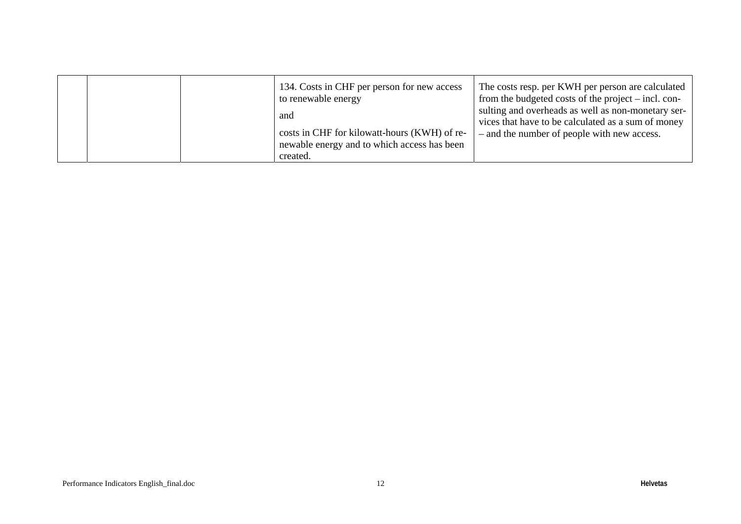|  | 134. Costs in CHF per person for new access<br>to renewable energy<br>and<br>costs in CHF for kilowatt-hours (KWH) of re-<br>newable energy and to which access has been | The costs resp. per KWH per person are calculated<br>from the budgeted costs of the project – incl. con-<br>sulting and overheads as well as non-monetary ser-<br>vices that have to be calculated as a sum of money<br>- and the number of people with new access. |
|--|--------------------------------------------------------------------------------------------------------------------------------------------------------------------------|---------------------------------------------------------------------------------------------------------------------------------------------------------------------------------------------------------------------------------------------------------------------|
|  | created.                                                                                                                                                                 |                                                                                                                                                                                                                                                                     |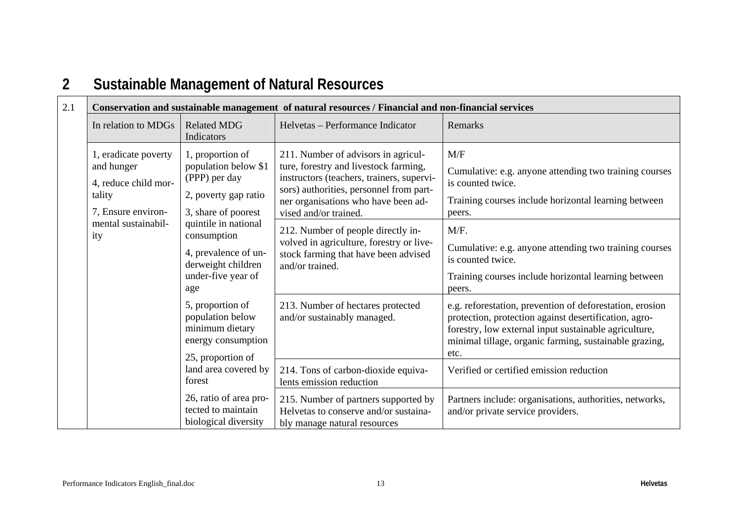| 2.1 | Conservation and sustainable management of natural resources / Financial and non-financial services |                                                                                                                |                                                                                                                                                                                                                                      |                                                                                                                                                                                                                                              |
|-----|-----------------------------------------------------------------------------------------------------|----------------------------------------------------------------------------------------------------------------|--------------------------------------------------------------------------------------------------------------------------------------------------------------------------------------------------------------------------------------|----------------------------------------------------------------------------------------------------------------------------------------------------------------------------------------------------------------------------------------------|
|     | In relation to MDGs                                                                                 | <b>Related MDG</b><br>Indicators                                                                               | Helvetas – Performance Indicator                                                                                                                                                                                                     | Remarks                                                                                                                                                                                                                                      |
|     | 1, eradicate poverty<br>and hunger<br>4, reduce child mor-<br>tality<br>7, Ensure environ-          | 1, proportion of<br>population below \$1<br>(PPP) per day<br>2, poverty gap ratio<br>3, share of poorest       | 211. Number of advisors in agricul-<br>ture, forestry and livestock farming,<br>instructors (teachers, trainers, supervi-<br>sors) authorities, personnel from part-<br>ner organisations who have been ad-<br>vised and/or trained. | M/F<br>Cumulative: e.g. anyone attending two training courses<br>is counted twice.<br>Training courses include horizontal learning between<br>peers.                                                                                         |
|     | mental sustainabil-<br>ity                                                                          | quintile in national<br>consumption<br>4, prevalence of un-<br>derweight children<br>under-five year of<br>age | 212. Number of people directly in-<br>volved in agriculture, forestry or live-<br>stock farming that have been advised<br>and/or trained.                                                                                            | M/F.<br>Cumulative: e.g. anyone attending two training courses<br>is counted twice.<br>Training courses include horizontal learning between<br>peers.                                                                                        |
|     |                                                                                                     | 5, proportion of<br>population below<br>minimum dietary<br>energy consumption<br>25, proportion of             | 213. Number of hectares protected<br>and/or sustainably managed.                                                                                                                                                                     | e.g. reforestation, prevention of deforestation, erosion<br>protection, protection against desertification, agro-<br>forestry, low external input sustainable agriculture,<br>minimal tillage, organic farming, sustainable grazing,<br>etc. |
|     |                                                                                                     | land area covered by<br>forest                                                                                 | 214. Tons of carbon-dioxide equiva-<br>lents emission reduction                                                                                                                                                                      | Verified or certified emission reduction                                                                                                                                                                                                     |
|     |                                                                                                     | 26, ratio of area pro-<br>tected to maintain<br>biological diversity                                           | 215. Number of partners supported by<br>Helvetas to conserve and/or sustaina-<br>bly manage natural resources                                                                                                                        | Partners include: organisations, authorities, networks,<br>and/or private service providers.                                                                                                                                                 |

### **2Sustainable Management of Natural Resources**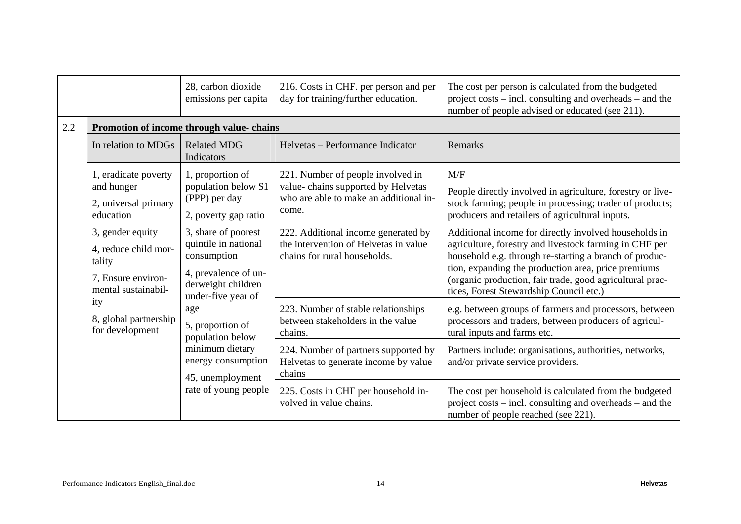|         |                                                                                                                                                    | 28, carbon dioxide<br>emissions per capita                                                                                     | 216. Costs in CHF. per person and per<br>day for training/further education.                                               | The cost per person is calculated from the budgeted<br>project costs – incl. consulting and overheads – and the<br>number of people advised or educated (see 211).                                                                                                                                                                      |
|---------|----------------------------------------------------------------------------------------------------------------------------------------------------|--------------------------------------------------------------------------------------------------------------------------------|----------------------------------------------------------------------------------------------------------------------------|-----------------------------------------------------------------------------------------------------------------------------------------------------------------------------------------------------------------------------------------------------------------------------------------------------------------------------------------|
| $2.2\,$ |                                                                                                                                                    | Promotion of income through value-chains                                                                                       |                                                                                                                            |                                                                                                                                                                                                                                                                                                                                         |
|         | In relation to MDGs                                                                                                                                | <b>Related MDG</b><br>Indicators                                                                                               | Helvetas - Performance Indicator                                                                                           | Remarks                                                                                                                                                                                                                                                                                                                                 |
|         | 1, eradicate poverty<br>and hunger<br>2, universal primary<br>education                                                                            | 1, proportion of<br>population below \$1<br>(PPP) per day<br>2, poverty gap ratio                                              | 221. Number of people involved in<br>value-chains supported by Helvetas<br>who are able to make an additional in-<br>come. | M/F<br>People directly involved in agriculture, forestry or live-<br>stock farming; people in processing; trader of products;<br>producers and retailers of agricultural inputs.                                                                                                                                                        |
|         | 3, gender equity<br>4, reduce child mor-<br>tality<br>7, Ensure environ-<br>mental sustainabil-<br>ity<br>8, global partnership<br>for development | 3, share of poorest<br>quintile in national<br>consumption<br>4, prevalence of un-<br>derweight children<br>under-five year of | 222. Additional income generated by<br>the intervention of Helvetas in value<br>chains for rural households.               | Additional income for directly involved households in<br>agriculture, forestry and livestock farming in CHF per<br>household e.g. through re-starting a branch of produc-<br>tion, expanding the production area, price premiums<br>(organic production, fair trade, good agricultural prac-<br>tices, Forest Stewardship Council etc.) |
|         |                                                                                                                                                    | age<br>5, proportion of<br>population below                                                                                    | 223. Number of stable relationships<br>between stakeholders in the value<br>chains.                                        | e.g. between groups of farmers and processors, between<br>processors and traders, between producers of agricul-<br>tural inputs and farms etc.                                                                                                                                                                                          |
|         |                                                                                                                                                    | minimum dietary<br>energy consumption<br>45, unemployment                                                                      | 224. Number of partners supported by<br>Helvetas to generate income by value<br>chains                                     | Partners include: organisations, authorities, networks,<br>and/or private service providers.                                                                                                                                                                                                                                            |
|         |                                                                                                                                                    | rate of young people                                                                                                           | 225. Costs in CHF per household in-<br>volved in value chains.                                                             | The cost per household is calculated from the budgeted<br>project costs – incl. consulting and overheads – and the<br>number of people reached (see 221).                                                                                                                                                                               |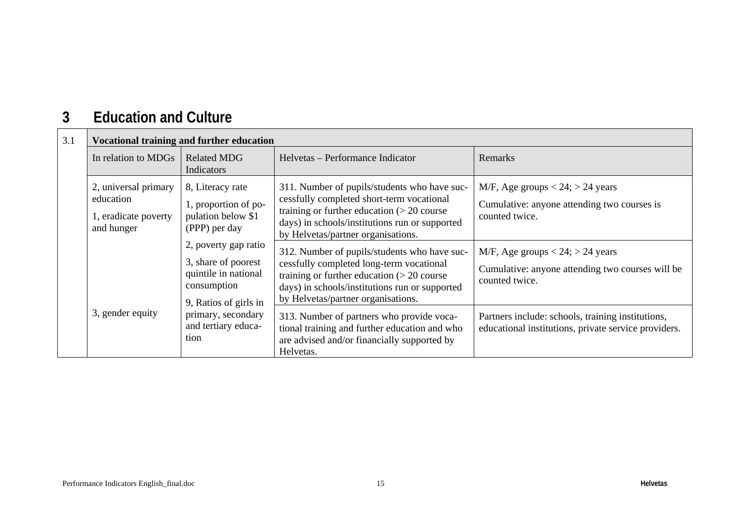#### **3Education and Culture**

| 3.1 | <b>Vocational training and further education</b>                        |                                                                                                             |                                                                                                                                                                                                                                   |                                                                                                             |
|-----|-------------------------------------------------------------------------|-------------------------------------------------------------------------------------------------------------|-----------------------------------------------------------------------------------------------------------------------------------------------------------------------------------------------------------------------------------|-------------------------------------------------------------------------------------------------------------|
|     | In relation to MDGs                                                     | <b>Related MDG</b><br>Indicators                                                                            | Helvetas – Performance Indicator                                                                                                                                                                                                  | Remarks                                                                                                     |
|     | 2, universal primary<br>education<br>1, eradicate poverty<br>and hunger | 8, Literacy rate<br>1, proportion of po-<br>pulation below \$1<br>(PPP) per day                             | 311. Number of pupils/students who have suc-<br>cessfully completed short-term vocational<br>training or further education $(> 20$ course<br>days) in schools/institutions run or supported<br>by Helvetas/partner organisations. | M/F, Age groups $< 24$ ; $> 24$ years<br>Cumulative: anyone attending two courses is<br>counted twice.      |
|     |                                                                         | 2, poverty gap ratio<br>3, share of poorest<br>quintile in national<br>consumption<br>9, Ratios of girls in | 312. Number of pupils/students who have suc-<br>cessfully completed long-term vocational<br>training or further education $(> 20$ course<br>days) in schools/institutions run or supported<br>by Helvetas/partner organisations.  | M/F, Age groups $< 24$ ; $> 24$ years<br>Cumulative: anyone attending two courses will be<br>counted twice. |
|     | 3, gender equity                                                        | primary, secondary<br>and tertiary educa-<br>tion                                                           | 313. Number of partners who provide voca-<br>tional training and further education and who<br>are advised and/or financially supported by<br>Helvetas.                                                                            | Partners include: schools, training institutions,<br>educational institutions, private service providers.   |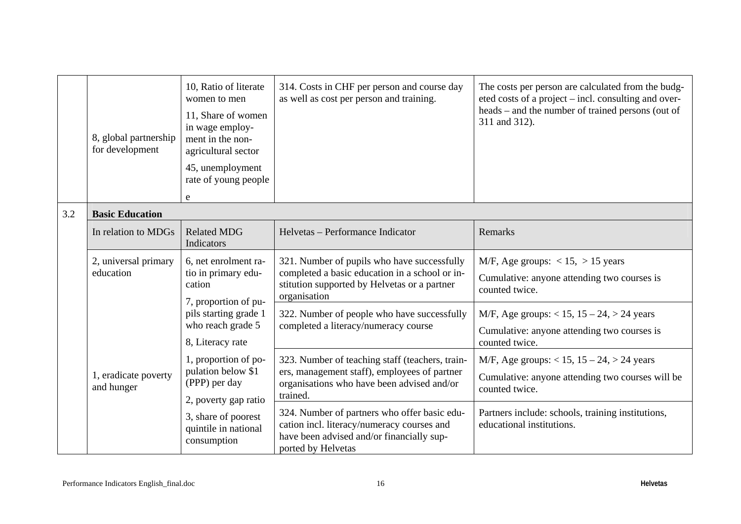|     | 8, global partnership<br>for development | 10, Ratio of literate<br>women to men<br>11, Share of women<br>in wage employ-<br>ment in the non-<br>agricultural sector<br>45, unemployment<br>rate of young people<br>e | 314. Costs in CHF per person and course day<br>as well as cost per person and training.                                                                       | The costs per person are calculated from the budg-<br>eted costs of a project – incl. consulting and over-<br>heads – and the number of trained persons (out of<br>311 and 312). |
|-----|------------------------------------------|----------------------------------------------------------------------------------------------------------------------------------------------------------------------------|---------------------------------------------------------------------------------------------------------------------------------------------------------------|----------------------------------------------------------------------------------------------------------------------------------------------------------------------------------|
| 3.2 | <b>Basic Education</b>                   |                                                                                                                                                                            |                                                                                                                                                               |                                                                                                                                                                                  |
|     | In relation to MDGs                      | <b>Related MDG</b><br>Indicators                                                                                                                                           | Helvetas - Performance Indicator                                                                                                                              | Remarks                                                                                                                                                                          |
|     | 2, universal primary<br>education        | 6, net enrolment ra-<br>tio in primary edu-<br>cation<br>7, proportion of pu-                                                                                              | 321. Number of pupils who have successfully<br>completed a basic education in a school or in-<br>stitution supported by Helvetas or a partner<br>organisation | M/F, Age groups: $< 15$ , $> 15$ years<br>Cumulative: anyone attending two courses is<br>counted twice.                                                                          |
|     |                                          | pils starting grade 1<br>who reach grade 5<br>8, Literacy rate                                                                                                             | 322. Number of people who have successfully<br>completed a literacy/numeracy course                                                                           | M/F, Age groups: $< 15$ , $15 - 24$ , $> 24$ years<br>Cumulative: anyone attending two courses is<br>counted twice.                                                              |
|     | 1, eradicate poverty<br>and hunger       | 1, proportion of po-<br>pulation below \$1<br>(PPP) per day<br>2, poverty gap ratio                                                                                        | 323. Number of teaching staff (teachers, train-<br>ers, management staff), employees of partner<br>organisations who have been advised and/or<br>trained.     | M/F, Age groups: $< 15$ , $15 - 24$ , $> 24$ years<br>Cumulative: anyone attending two courses will be<br>counted twice.                                                         |
|     |                                          | 3, share of poorest<br>quintile in national<br>consumption                                                                                                                 | 324. Number of partners who offer basic edu-<br>cation incl. literacy/numeracy courses and<br>have been advised and/or financially sup-<br>ported by Helvetas | Partners include: schools, training institutions,<br>educational institutions.                                                                                                   |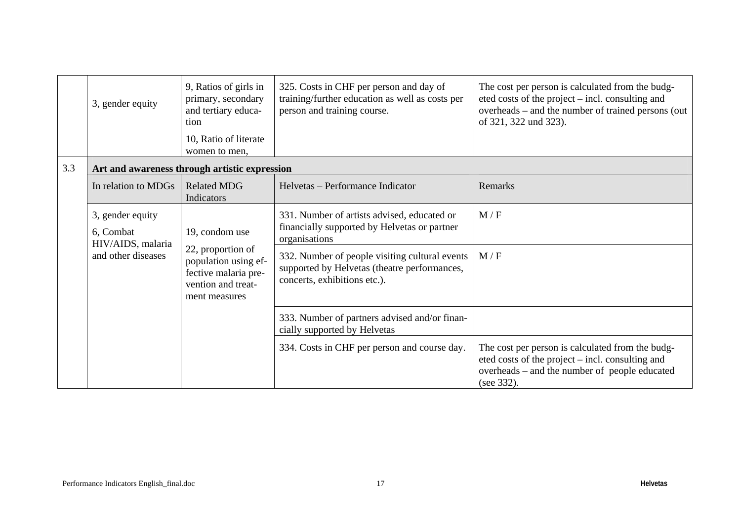|     | 3, gender equity                                                         | 9, Ratios of girls in<br>primary, secondary<br>and tertiary educa-<br>tion<br>10, Ratio of literate<br>women to men,       | 325. Costs in CHF per person and day of<br>training/further education as well as costs per<br>person and training course.      | The cost per person is calculated from the budg-<br>eted costs of the project – incl. consulting and<br>overheads – and the number of trained persons (out<br>of 321, 322 und 323). |  |
|-----|--------------------------------------------------------------------------|----------------------------------------------------------------------------------------------------------------------------|--------------------------------------------------------------------------------------------------------------------------------|-------------------------------------------------------------------------------------------------------------------------------------------------------------------------------------|--|
| 3.3 | Art and awareness through artistic expression                            |                                                                                                                            |                                                                                                                                |                                                                                                                                                                                     |  |
|     | In relation to MDGs                                                      | <b>Related MDG</b><br>Indicators                                                                                           | Helvetas – Performance Indicator                                                                                               | Remarks                                                                                                                                                                             |  |
|     | 3, gender equity<br>6, Combat<br>HIV/AIDS, malaria<br>and other diseases | 19, condom use<br>22, proportion of<br>population using ef-<br>fective malaria pre-<br>vention and treat-<br>ment measures | 331. Number of artists advised, educated or<br>financially supported by Helvetas or partner<br>organisations                   | M/F                                                                                                                                                                                 |  |
|     |                                                                          |                                                                                                                            | 332. Number of people visiting cultural events<br>supported by Helvetas (theatre performances,<br>concerts, exhibitions etc.). | M/F                                                                                                                                                                                 |  |
|     |                                                                          |                                                                                                                            | 333. Number of partners advised and/or finan-<br>cially supported by Helvetas                                                  |                                                                                                                                                                                     |  |
|     |                                                                          |                                                                                                                            | 334. Costs in CHF per person and course day.                                                                                   | The cost per person is calculated from the budg-<br>eted costs of the project – incl. consulting and<br>overheads - and the number of people educated<br>(see 332).                 |  |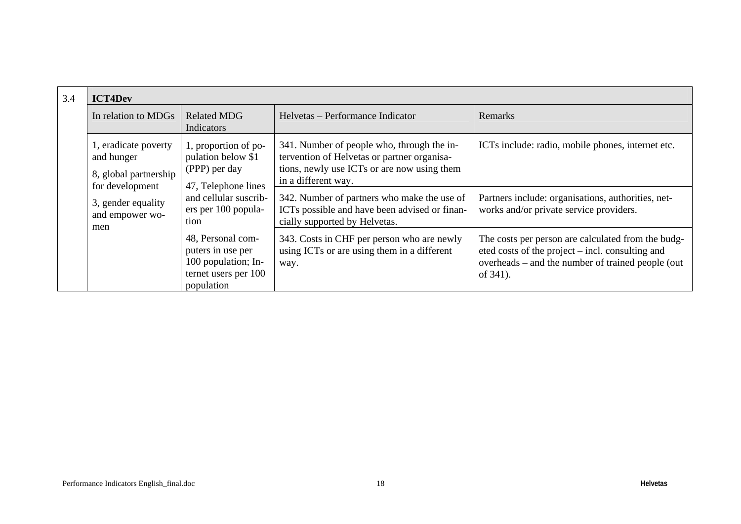| 3.4 | <b>ICT4Dev</b>                                                  |                                                                                                     |                                                                                                                                                                 |                                                                                                                                                                         |
|-----|-----------------------------------------------------------------|-----------------------------------------------------------------------------------------------------|-----------------------------------------------------------------------------------------------------------------------------------------------------------------|-------------------------------------------------------------------------------------------------------------------------------------------------------------------------|
|     | In relation to MDGs                                             | <b>Related MDG</b><br>Indicators                                                                    | Helvetas – Performance Indicator                                                                                                                                | Remarks                                                                                                                                                                 |
|     | 1, eradicate poverty<br>and hunger<br>8, global partnership     | 1, proportion of po-<br>pulation below \$1<br>(PPP) per day                                         | 341. Number of people who, through the in-<br>tervention of Helvetas or partner organisa-<br>tions, newly use ICTs or are now using them<br>in a different way. | ICTs include: radio, mobile phones, internet etc.                                                                                                                       |
|     | for development<br>3, gender equality<br>and empower wo-<br>men | 47, Telephone lines<br>and cellular suscrib-<br>ers per 100 popula-<br>tion                         | 342. Number of partners who make the use of<br>ICTs possible and have been advised or finan-<br>cially supported by Helvetas.                                   | Partners include: organisations, authorities, net-<br>works and/or private service providers.                                                                           |
|     |                                                                 | 48, Personal com-<br>puters in use per<br>100 population; In-<br>ternet users per 100<br>population | 343. Costs in CHF per person who are newly<br>using ICTs or are using them in a different<br>way.                                                               | The costs per person are calculated from the budg-<br>eted costs of the project – incl. consulting and<br>overheads – and the number of trained people (out<br>of 341). |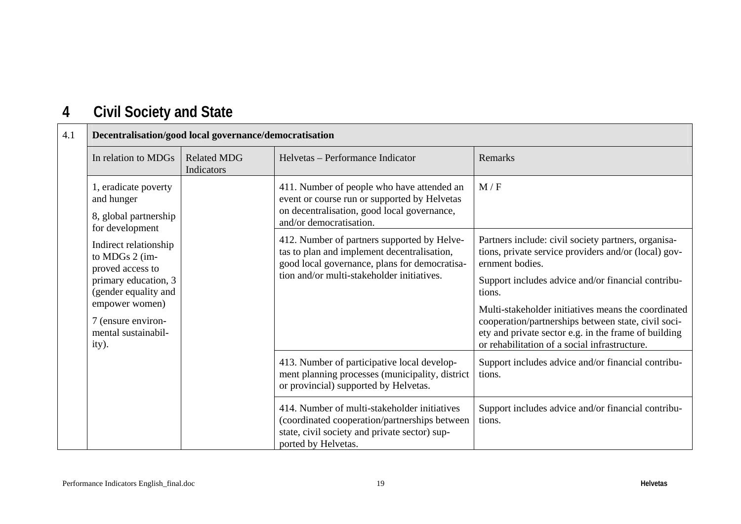### **4Civil Society and State**

| Decentralisation/good local governance/democratisation                         |                                                                                                                                         |                                                                                                                                                                                           |                                                                                                                                                                                                                     |
|--------------------------------------------------------------------------------|-----------------------------------------------------------------------------------------------------------------------------------------|-------------------------------------------------------------------------------------------------------------------------------------------------------------------------------------------|---------------------------------------------------------------------------------------------------------------------------------------------------------------------------------------------------------------------|
| In relation to MDGs                                                            | <b>Related MDG</b><br>Indicators                                                                                                        | Helvetas – Performance Indicator                                                                                                                                                          | Remarks                                                                                                                                                                                                             |
| 1, eradicate poverty<br>and hunger<br>8, global partnership<br>for development |                                                                                                                                         | 411. Number of people who have attended an<br>event or course run or supported by Helvetas<br>on decentralisation, good local governance,<br>and/or democratisation.                      | M/F                                                                                                                                                                                                                 |
| Indirect relationship<br>to MDGs 2 (im-<br>proved access to                    |                                                                                                                                         | 412. Number of partners supported by Helve-<br>tas to plan and implement decentralisation,<br>good local governance, plans for democratisa-<br>tion and/or multi-stakeholder initiatives. | Partners include: civil society partners, organisa-<br>tions, private service providers and/or (local) gov-<br>ernment bodies.                                                                                      |
| primary education, 3<br>(gender equality and                                   |                                                                                                                                         |                                                                                                                                                                                           | Support includes advice and/or financial contribu-<br>tions.                                                                                                                                                        |
| empower women)<br>7 (ensure environ-<br>mental sustainabil-<br>ity).           |                                                                                                                                         |                                                                                                                                                                                           | Multi-stakeholder initiatives means the coordinated<br>cooperation/partnerships between state, civil soci-<br>ety and private sector e.g. in the frame of building<br>or rehabilitation of a social infrastructure. |
|                                                                                | 413. Number of participative local develop-<br>ment planning processes (municipality, district<br>or provincial) supported by Helvetas. | Support includes advice and/or financial contribu-<br>tions.                                                                                                                              |                                                                                                                                                                                                                     |
|                                                                                |                                                                                                                                         | 414. Number of multi-stakeholder initiatives<br>(coordinated cooperation/partnerships between<br>state, civil society and private sector) sup-<br>ported by Helvetas.                     | Support includes advice and/or financial contribu-<br>tions.                                                                                                                                                        |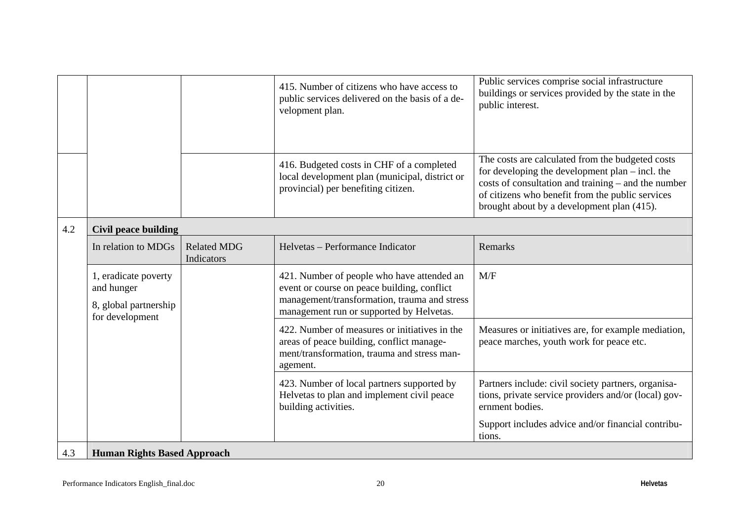|     |                                                                                |                                  | 415. Number of citizens who have access to<br>public services delivered on the basis of a de-<br>velopment plan.                                                                      | Public services comprise social infrastructure<br>buildings or services provided by the state in the<br>public interest.                                                                                                                                       |
|-----|--------------------------------------------------------------------------------|----------------------------------|---------------------------------------------------------------------------------------------------------------------------------------------------------------------------------------|----------------------------------------------------------------------------------------------------------------------------------------------------------------------------------------------------------------------------------------------------------------|
|     |                                                                                |                                  | 416. Budgeted costs in CHF of a completed<br>local development plan (municipal, district or<br>provincial) per benefiting citizen.                                                    | The costs are calculated from the budgeted costs<br>for developing the development plan $-$ incl. the<br>costs of consultation and training – and the number<br>of citizens who benefit from the public services<br>brought about by a development plan (415). |
| 4.2 | <b>Civil peace building</b>                                                    |                                  |                                                                                                                                                                                       |                                                                                                                                                                                                                                                                |
|     | In relation to MDGs                                                            | <b>Related MDG</b><br>Indicators | Helvetas – Performance Indicator                                                                                                                                                      | Remarks                                                                                                                                                                                                                                                        |
|     | 1, eradicate poverty<br>and hunger<br>8, global partnership<br>for development |                                  | 421. Number of people who have attended an<br>event or course on peace building, conflict<br>management/transformation, trauma and stress<br>management run or supported by Helvetas. | M/F                                                                                                                                                                                                                                                            |
|     |                                                                                |                                  | 422. Number of measures or initiatives in the<br>areas of peace building, conflict manage-<br>ment/transformation, trauma and stress man-<br>agement.                                 | Measures or initiatives are, for example mediation,<br>peace marches, youth work for peace etc.                                                                                                                                                                |
|     |                                                                                |                                  | 423. Number of local partners supported by<br>Helvetas to plan and implement civil peace<br>building activities.                                                                      | Partners include: civil society partners, organisa-<br>tions, private service providers and/or (local) gov-<br>ernment bodies.                                                                                                                                 |
|     |                                                                                |                                  |                                                                                                                                                                                       | Support includes advice and/or financial contribu-<br>tions.                                                                                                                                                                                                   |
| 4.3 | <b>Human Rights Based Approach</b>                                             |                                  |                                                                                                                                                                                       |                                                                                                                                                                                                                                                                |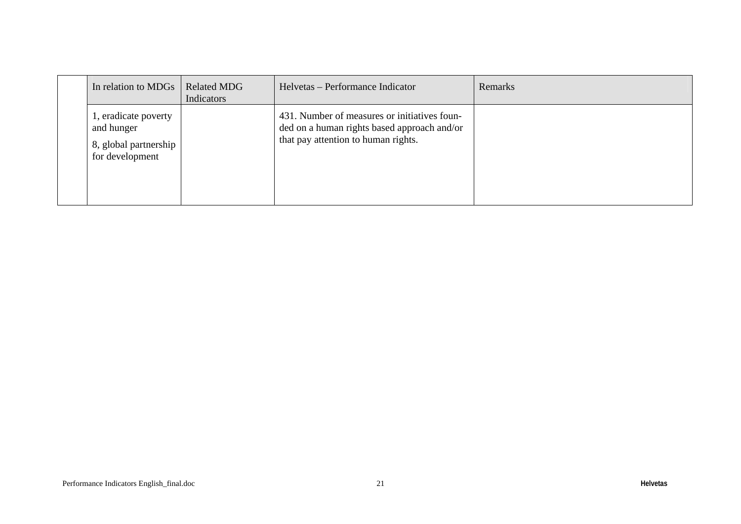| In relation to MDGs                                                            | <b>Related MDG</b><br>Indicators | Helvetas – Performance Indicator                                                                                                   | Remarks |
|--------------------------------------------------------------------------------|----------------------------------|------------------------------------------------------------------------------------------------------------------------------------|---------|
| 1, eradicate poverty<br>and hunger<br>8, global partnership<br>for development |                                  | 431. Number of measures or initiatives foun-<br>ded on a human rights based approach and/or<br>that pay attention to human rights. |         |
|                                                                                |                                  |                                                                                                                                    |         |